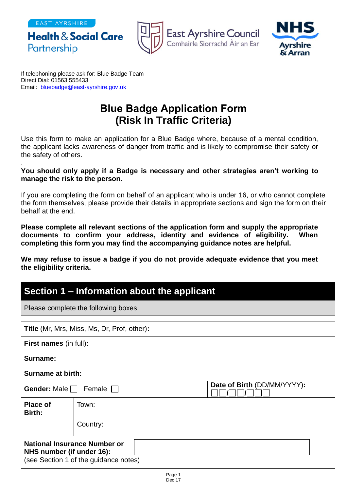EAST AYRSHIRE

Partnership

**Health & Social Care** 



East Ayrshire Council<br>Comhairle Siorrachd Àir an Ear



If telephoning please ask for: Blue Badge Team Direct Dial: 01563 555433 Email: [bluebadge@east-ayrshire.gov.uk](mailto:bluebadge@east-ayrshire.gov.uk)

# **Blue Badge Application Form (Risk In Traffic Criteria)**

Use this form to make an application for a Blue Badge where, because of a mental condition, the applicant lacks awareness of danger from traffic and is likely to compromise their safety or the safety of others.

#### . **You should only apply if a Badge is necessary and other strategies aren't working to manage the risk to the person.**

If you are completing the form on behalf of an applicant who is under 16, or who cannot complete the form themselves, please provide their details in appropriate sections and sign the form on their behalf at the end.

**Please complete all relevant sections of the application form and supply the appropriate documents to confirm your address, identity and evidence of eligibility. When completing this form you may find the accompanying guidance notes are helpful.**

**We may refuse to issue a badge if you do not provide adequate evidence that you meet the eligibility criteria.**

## **Section 1 – Information about the applicant**

Please complete the following boxes.

| <b>Title (Mr, Mrs, Miss, Ms, Dr, Prof, other):</b>                                                 |          |  |  |
|----------------------------------------------------------------------------------------------------|----------|--|--|
| <b>First names (in full):</b>                                                                      |          |  |  |
| Surname:                                                                                           |          |  |  |
| <b>Surname at birth:</b>                                                                           |          |  |  |
| Date of Birth (DD/MM/YYYY):<br>Gender: Male<br>Female $\Box$                                       |          |  |  |
| <b>Place of</b>                                                                                    | Town:    |  |  |
| Birth:                                                                                             | Country: |  |  |
| National Insurance Number or<br>NHS number (if under 16):<br>(see Section 1 of the guidance notes) |          |  |  |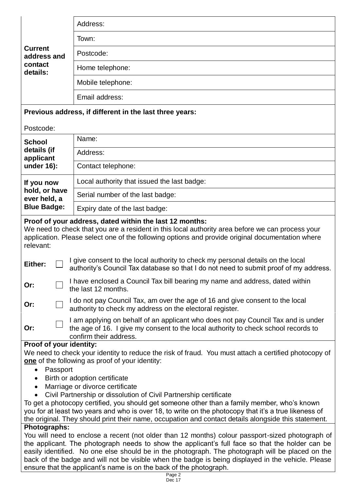|                                                         | Address:          |
|---------------------------------------------------------|-------------------|
|                                                         | Town:             |
| <b>Current</b><br>address and                           | Postcode:         |
| contact<br>details:                                     | Home telephone:   |
|                                                         | Mobile telephone: |
|                                                         | Email address:    |
| Previous address, if different in the last three years: |                   |
| Postcode:                                               |                   |

| <b>School</b>                                                     | Name:                                       |
|-------------------------------------------------------------------|---------------------------------------------|
| details (if<br>applicant                                          | Address:                                    |
| under $16$ :                                                      | Contact telephone:                          |
| If you now<br>hold, or have<br>ever held, a<br><b>Blue Badge:</b> | Local authority that issued the last badge: |
|                                                                   | Serial number of the last badge:            |
|                                                                   | Expiry date of the last badge:              |

### **Proof of your address, dated within the last 12 months:**

We need to check that you are a resident in this local authority area before we can process your application. Please select one of the following options and provide original documentation where relevant:

| Or: |  | $\Box$ I have enclosed a Council Tax bill bearing my name and address, dated within<br>$\Box$ the last 12 months. |
|-----|--|-------------------------------------------------------------------------------------------------------------------|
|-----|--|-------------------------------------------------------------------------------------------------------------------|

| Or: | $\Box$ I do not pay Council Tax, am over the age of 16 and give consent to the local |
|-----|--------------------------------------------------------------------------------------|
|     | $\Box$ authority to check my address on the electoral register.                      |

| Or: |  | $\Box$ I am applying on behalf of an applicant who does not pay Council Tax and is under<br>the age of 16. I give my consent to the local authority to check school records to<br>confirm their address. |
|-----|--|----------------------------------------------------------------------------------------------------------------------------------------------------------------------------------------------------------|
|-----|--|----------------------------------------------------------------------------------------------------------------------------------------------------------------------------------------------------------|

#### **Proof of your identity:**

We need to check your identity to reduce the risk of fraud. You must attach a certified photocopy of **one** of the following as proof of your identity:

- Passport
- Birth or adoption certificate
- Marriage or divorce certificate
- Civil Partnership or dissolution of Civil Partnership certificate

To get a photocopy certified, you should get someone other than a family member, who's known you for at least two years and who is over 18, to write on the photocopy that it's a true likeness of the original. They should print their name, occupation and contact details alongside this statement.

### **Photographs:**

You will need to enclose a recent (not older than 12 months) colour passport-sized photograph of the applicant. The photograph needs to show the applicant's full face so that the holder can be easily identified. No one else should be in the photograph. The photograph will be placed on the back of the badge and will not be visible when the badge is being displayed in the vehicle. Please ensure that the applicant's name is on the back of the photograph.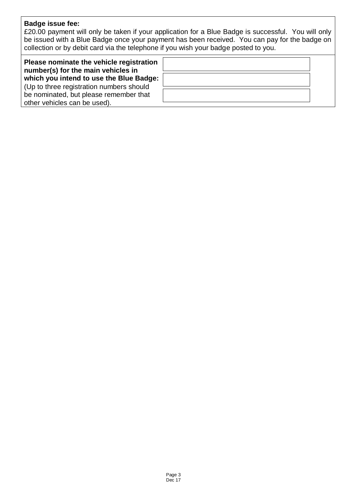## **Badge issue fee:**

£20.00 payment will only be taken if your application for a Blue Badge is successful. You will only be issued with a Blue Badge once your payment has been received. You can pay for the badge on collection or by debit card via the telephone if you wish your badge posted to you.

| Please nominate the vehicle registration<br>number(s) for the main vehicles in |  |  |
|--------------------------------------------------------------------------------|--|--|
| which you intend to use the Blue Badge:                                        |  |  |
| Up to three registration numbers should                                        |  |  |
| be nominated, but please remember that                                         |  |  |
| other vehicles can be used).                                                   |  |  |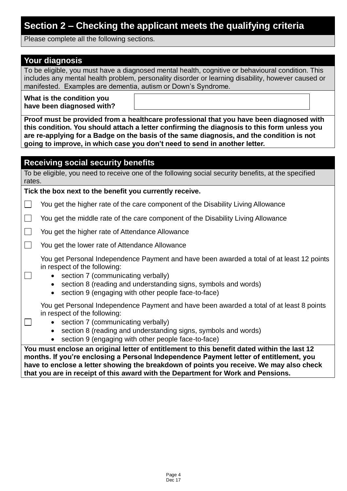## **Section 2 – Checking the applicant meets the qualifying criteria**

Please complete all the following sections.

## **Your diagnosis**

 $\Box$ 

 $\Box$ 

To be eligible, you must have a diagnosed mental health, cognitive or behavioural condition. This includes any mental health problem, personality disorder or learning disability, however caused or manifested. Examples are dementia, autism or Down's Syndrome.

**What is the condition you have been diagnosed with?** 

**Proof must be provided from a healthcare professional that you have been diagnosed with this condition. You should attach a letter confirming the diagnosis to this form unless you are re-applying for a Badge on the basis of the same diagnosis, and the condition is not going to improve, in which case you don't need to send in another letter.**

## **Receiving social security benefits**

To be eligible, you need to receive one of the following social security benefits, at the specified rates.

**Tick the box next to the benefit you currently receive.**

 You get the higher rate of the care component of the Disability Living Allowance  $\perp$ 

 $\Box$ You get the middle rate of the care component of the Disability Living Allowance

 $\Box$ You get the higher rate of Attendance Allowance

 $\overline{\phantom{a}}$ You get the lower rate of Attendance Allowance

You get Personal Independence Payment and have been awarded a total of at least 12 points in respect of the following:

- section 7 (communicating verbally)
- section 8 (reading and understanding signs, symbols and words)
- section 9 (engaging with other people face-to-face)

You get Personal Independence Payment and have been awarded a total of at least 8 points in respect of the following:

- section 7 (communicating verbally)
- section 8 (reading and understanding signs, symbols and words)
- section 9 (engaging with other people face-to-face)

**You must enclose an original letter of entitlement to this benefit dated within the last 12 months. If you're enclosing a Personal Independence Payment letter of entitlement, you have to enclose a letter showing the breakdown of points you receive. We may also check that you are in receipt of this award with the Department for Work and Pensions.**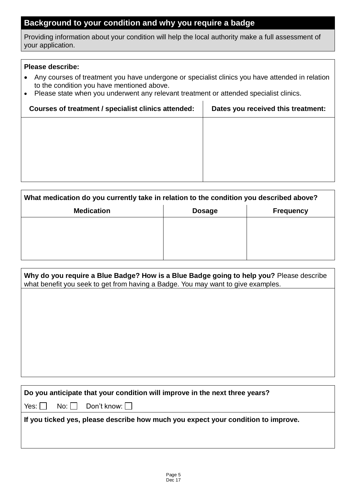## **Background to your condition and why you require a badge**

Providing information about your condition will help the local authority make a full assessment of your application.

### **Please describe:**

 $\overline{1}$ 

- Any courses of treatment you have undergone or specialist clinics you have attended in relation to the condition you have mentioned above.
- Please state when you underwent any relevant treatment or attended specialist clinics.

| Courses of treatment / specialist clinics attended: | Dates you received this treatment: |
|-----------------------------------------------------|------------------------------------|
|                                                     |                                    |
|                                                     |                                    |
|                                                     |                                    |
|                                                     |                                    |
|                                                     |                                    |

| What medication do you currently take in relation to the condition you described above? |               |                  |  |
|-----------------------------------------------------------------------------------------|---------------|------------------|--|
| <b>Medication</b>                                                                       | <b>Dosage</b> | <b>Frequency</b> |  |
|                                                                                         |               |                  |  |
|                                                                                         |               |                  |  |
|                                                                                         |               |                  |  |
|                                                                                         |               |                  |  |

| Why do you require a Blue Badge? How is a Blue Badge going to help you? Please describe<br>what benefit you seek to get from having a Badge. You may want to give examples. |
|-----------------------------------------------------------------------------------------------------------------------------------------------------------------------------|
|                                                                                                                                                                             |
|                                                                                                                                                                             |
|                                                                                                                                                                             |
|                                                                                                                                                                             |
|                                                                                                                                                                             |
|                                                                                                                                                                             |
|                                                                                                                                                                             |
| Do you anticipate that your condition will improve in the next three years?                                                                                                 |
| Don't know:    <br>Yes: $\vert \ \vert$<br>$No: \vert \ \ \vert$                                                                                                            |
| If you ticked yes, please describe how much you expect your condition to improve.                                                                                           |
|                                                                                                                                                                             |
|                                                                                                                                                                             |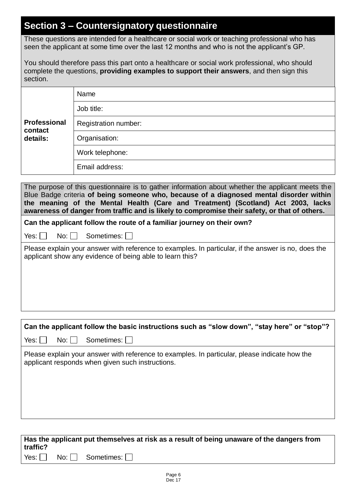## **Section 3 – Countersignatory questionnaire**

These questions are intended for a healthcare or social work or teaching professional who has seen the applicant at some time over the last 12 months and who is not the applicant's GP.

You should therefore pass this part onto a healthcare or social work professional, who should complete the questions, **providing examples to support their answers**, and then sign this section.

|                         | Name                        |
|-------------------------|-----------------------------|
|                         | Job title:                  |
| Professional<br>contact | <b>Registration number:</b> |
| details:                | Organisation:               |
|                         | Work telephone:             |
|                         | Email address:              |

The purpose of this questionnaire is to gather information about whether the applicant meets the Blue Badge criteria **of being someone who, because of a diagnosed mental disorder within the meaning of the Mental Health (Care and Treatment) (Scotland) Act 2003, lacks awareness of danger from traffic and is likely to compromise their safety, or that of others.**

**Can the applicant follow the route of a familiar journey on their own?** 

 $Yes: \Box \quad No: \Box \quad Sometimes: \Box$ 

Please explain your answer with reference to examples. In particular, if the answer is no, does the applicant show any evidence of being able to learn this?

# **Can the applicant follow the basic instructions such as "slow down", "stay here" or "stop"?**   $Yes: \Box \quad No: \Box \quad Sometimes: \Box$ Please explain your answer with reference to examples. In particular, please indicate how the applicant responds when given such instructions.

### **Has the applicant put themselves at risk as a result of being unaware of the dangers from traffic?**   $Yes: \Box \quad No: \Box \quad Sometimes: \Box$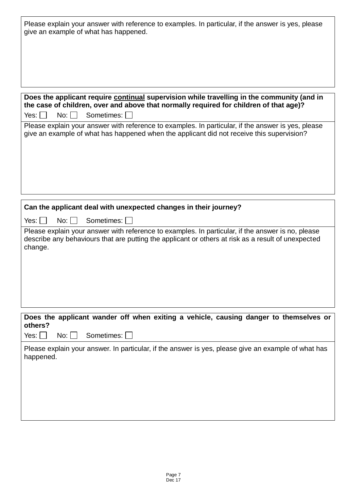| Please explain your answer with reference to examples. In particular, if the answer is yes, please<br>give an example of what has happened.                                                                        |
|--------------------------------------------------------------------------------------------------------------------------------------------------------------------------------------------------------------------|
|                                                                                                                                                                                                                    |
| Does the applicant require continual supervision while travelling in the community (and in<br>the case of children, over and above that normally required for children of that age)?                               |
| Sometimes: I<br>Yes: 1<br>No:                                                                                                                                                                                      |
| Please explain your answer with reference to examples. In particular, if the answer is yes, please<br>give an example of what has happened when the applicant did not receive this supervision?                    |
|                                                                                                                                                                                                                    |
|                                                                                                                                                                                                                    |
| Can the applicant deal with unexpected changes in their journey?                                                                                                                                                   |
| Sometimes:<br>Yes: $\vert$ $\vert$<br>$No:$ $\vert \ \vert$                                                                                                                                                        |
| Please explain your answer with reference to examples. In particular, if the answer is no, please<br>describe any behaviours that are putting the applicant or others at risk as a result of unexpected<br>change. |
|                                                                                                                                                                                                                    |
|                                                                                                                                                                                                                    |
| Does the applicant wander off when exiting a vehicle, causing danger to themselves or<br>others?                                                                                                                   |
| Sometimes:<br>Yes: $\vert \ \vert$<br>$No:$                                                                                                                                                                        |
| Please explain your answer. In particular, if the answer is yes, please give an example of what has<br>happened.                                                                                                   |
|                                                                                                                                                                                                                    |
|                                                                                                                                                                                                                    |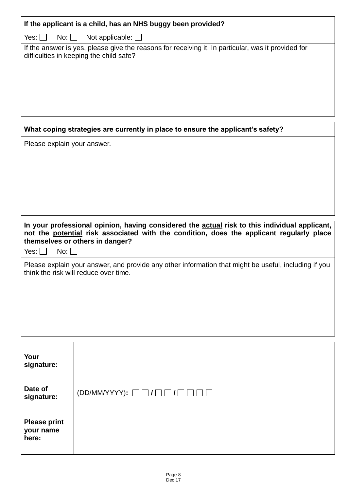| If the applicant is a child, has an NHS buggy been provided?                                                                                                                                                                                       |                                                                                 |  |  |  |  |  |
|----------------------------------------------------------------------------------------------------------------------------------------------------------------------------------------------------------------------------------------------------|---------------------------------------------------------------------------------|--|--|--|--|--|
| Yes: $\vert \ \vert$<br>$No:$ $ $ $ $                                                                                                                                                                                                              | Not applicable: $\Box$                                                          |  |  |  |  |  |
| If the answer is yes, please give the reasons for receiving it. In particular, was it provided for<br>difficulties in keeping the child safe?                                                                                                      |                                                                                 |  |  |  |  |  |
|                                                                                                                                                                                                                                                    | What coping strategies are currently in place to ensure the applicant's safety? |  |  |  |  |  |
| Please explain your answer.                                                                                                                                                                                                                        |                                                                                 |  |  |  |  |  |
|                                                                                                                                                                                                                                                    |                                                                                 |  |  |  |  |  |
| In your professional opinion, having considered the actual risk to this individual applicant,<br>not the potential risk associated with the condition, does the applicant regularly place<br>themselves or others in danger?<br>Yes: $\Box$<br>No: |                                                                                 |  |  |  |  |  |
| Please explain your answer, and provide any other information that might be useful, including if you<br>think the risk will reduce over time.                                                                                                      |                                                                                 |  |  |  |  |  |
|                                                                                                                                                                                                                                                    |                                                                                 |  |  |  |  |  |
| Your<br>signature:                                                                                                                                                                                                                                 |                                                                                 |  |  |  |  |  |
| Date of<br>signature:                                                                                                                                                                                                                              | $(DD/MM/YYYY): \Box \Box / \Box \Box / \Box \Box \Box$                          |  |  |  |  |  |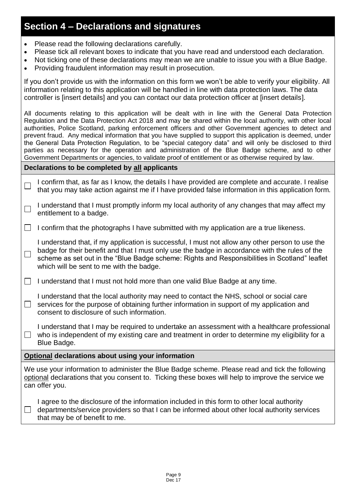## **Section 4 – Declarations and signatures**

- Please read the following declarations carefully.
- Please tick all relevant boxes to indicate that you have read and understood each declaration.
- Not ticking one of these declarations may mean we are unable to issue you with a Blue Badge.
- Providing fraudulent information may result in prosecution.

If you don't provide us with the information on this form we won't be able to verify your eligibility. All information relating to this application will be handled in line with data protection laws. The data controller is [insert details] and you can contact our data protection officer at [insert details].

All documents relating to this application will be dealt with in line with the General Data Protection Regulation and the Data Protection Act 2018 and may be shared within the local authority, with other local authorities, Police Scotland, parking enforcement officers and other Government agencies to detect and prevent fraud. Any medical information that you have supplied to support this application is deemed, under the General Data Protection Regulation, to be "special category data" and will only be disclosed to third parties as necessary for the operation and administration of the Blue Badge scheme, and to other Government Departments or agencies, to validate proof of entitlement or as otherwise required by law.

### **Declarations to be completed by all applicants**

- I confirm that, as far as I know, the details I have provided are complete and accurate. I realise  $\Box$ that you may take action against me if I have provided false information in this application form.
- I understand that I must promptly inform my local authority of any changes that may affect my  $\Box$ entitlement to a badge.
- $\Box$  I confirm that the photographs I have submitted with my application are a true likeness.

I understand that, if my application is successful, I must not allow any other person to use the badge for their benefit and that I must only use the badge in accordance with the rules of the  $\Box$ scheme as set out in the "Blue Badge scheme: Rights and Responsibilities in Scotland" leaflet which will be sent to me with the badge.

- $\Box$  I understand that I must not hold more than one valid Blue Badge at any time.
- I understand that the local authority may need to contact the NHS, school or social care  $\Box$  services for the purpose of obtaining further information in support of my application and consent to disclosure of such information.

I understand that I may be required to undertake an assessment with a healthcare professional  $\Box$  who is independent of my existing care and treatment in order to determine my eligibility for a Blue Badge.

### **Optional declarations about using your information**

We use your information to administer the Blue Badge scheme. Please read and tick the following optional declarations that you consent to. Ticking these boxes will help to improve the service we can offer you.

I agree to the disclosure of the information included in this form to other local authority  $\Box$  departments/service providers so that I can be informed about other local authority services that may be of benefit to me.